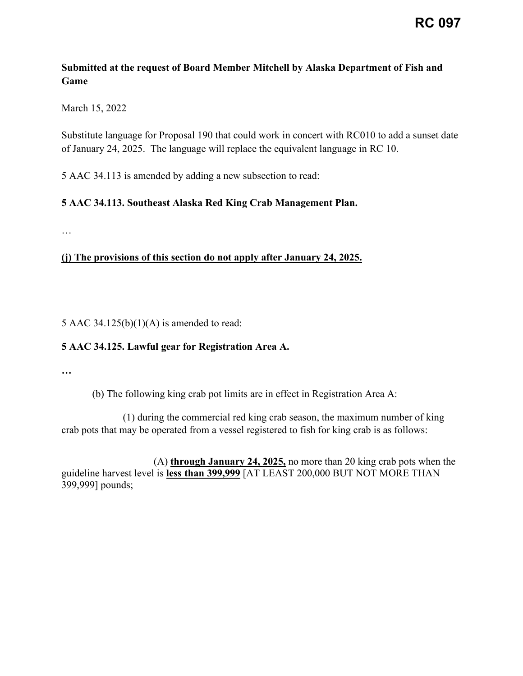## **Submitted at the request of Board Member Mitchell by Alaska Department of Fish and Game**

March 15, 2022

Substitute language for Proposal 190 that could work in concert with RC010 to add a sunset date of January 24, 2025. The language will replace the equivalent language in RC 10.

5 AAC 34.113 is amended by adding a new subsection to read:

## **5 AAC 34.113. Southeast Alaska Red King Crab Management Plan.**

…

## **(j) The provisions of this section do not apply after January 24, 2025.**

5 AAC 34.125(b) $(1)(A)$  is amended to read:

## **5 AAC 34.125. Lawful gear for Registration Area A.**

**…** 

(b) The following king crab pot limits are in effect in Registration Area A:

(1) during the commercial red king crab season, the maximum number of king crab pots that may be operated from a vessel registered to fish for king crab is as follows:

(A) **through January 24, 2025,** no more than 20 king crab pots when the guideline harvest level is **less than 399,999** [AT LEAST 200,000 BUT NOT MORE THAN 399,999] pounds;